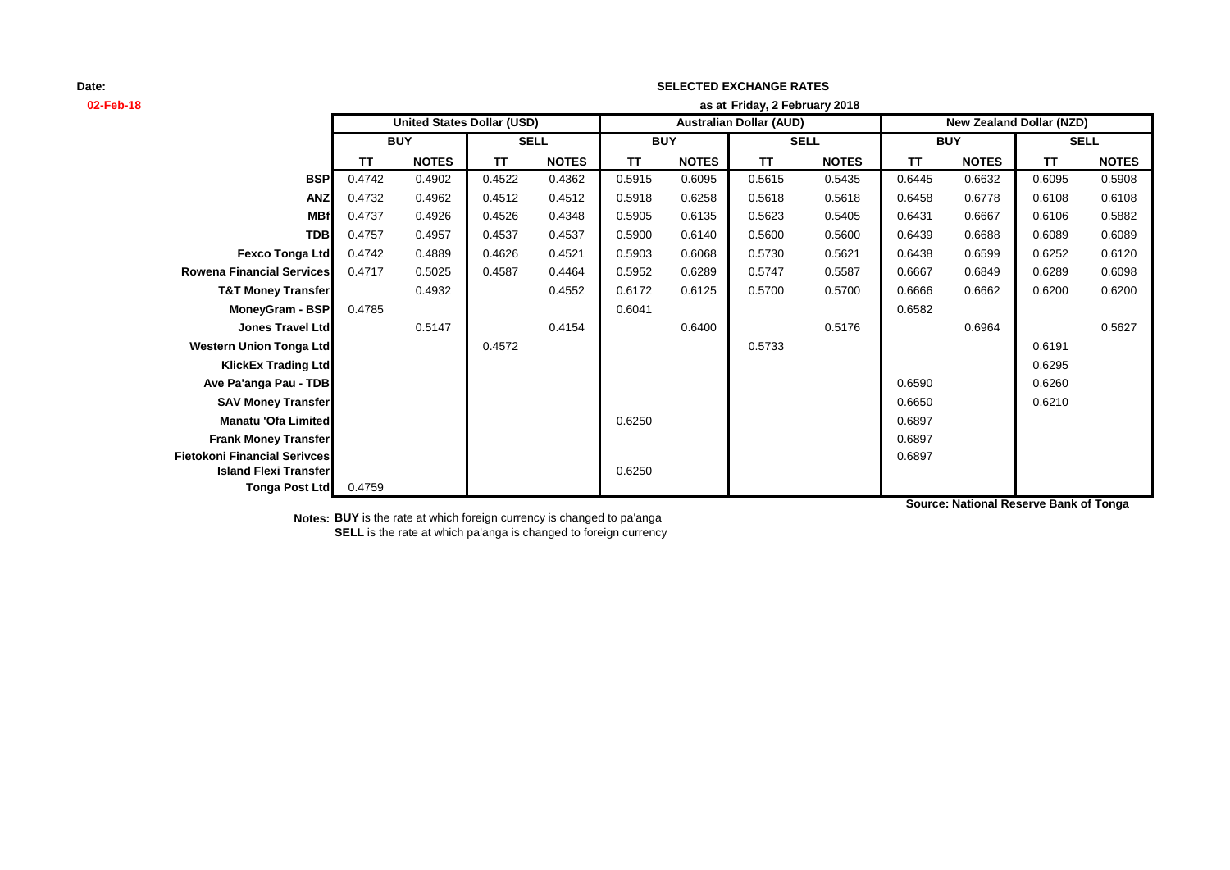## **Date:**

| 02-Feb-18                           | as at Friday, 2 February 2018     |              |             |                                |            |              |             |                                 |            |              |             |              |
|-------------------------------------|-----------------------------------|--------------|-------------|--------------------------------|------------|--------------|-------------|---------------------------------|------------|--------------|-------------|--------------|
|                                     | <b>United States Dollar (USD)</b> |              |             | <b>Australian Dollar (AUD)</b> |            |              |             | <b>New Zealand Dollar (NZD)</b> |            |              |             |              |
|                                     | <b>BUY</b>                        |              | <b>SELL</b> |                                | <b>BUY</b> |              | <b>SELL</b> |                                 | <b>BUY</b> |              | <b>SELL</b> |              |
|                                     | <b>TT</b>                         | <b>NOTES</b> | <b>TT</b>   | <b>NOTES</b>                   | <b>TT</b>  | <b>NOTES</b> | <b>TT</b>   | <b>NOTES</b>                    | TΤ         | <b>NOTES</b> | TΤ          | <b>NOTES</b> |
| <b>BSP</b>                          | 0.4742                            | 0.4902       | 0.4522      | 0.4362                         | 0.5915     | 0.6095       | 0.5615      | 0.5435                          | 0.6445     | 0.6632       | 0.6095      | 0.5908       |
| <b>ANZ</b>                          | 0.4732                            | 0.4962       | 0.4512      | 0.4512                         | 0.5918     | 0.6258       | 0.5618      | 0.5618                          | 0.6458     | 0.6778       | 0.6108      | 0.6108       |
| <b>MBf</b>                          | 0.4737                            | 0.4926       | 0.4526      | 0.4348                         | 0.5905     | 0.6135       | 0.5623      | 0.5405                          | 0.6431     | 0.6667       | 0.6106      | 0.5882       |
| <b>TDB</b>                          | 0.4757                            | 0.4957       | 0.4537      | 0.4537                         | 0.5900     | 0.6140       | 0.5600      | 0.5600                          | 0.6439     | 0.6688       | 0.6089      | 0.6089       |
| <b>Fexco Tonga Ltd</b>              | 0.4742                            | 0.4889       | 0.4626      | 0.4521                         | 0.5903     | 0.6068       | 0.5730      | 0.5621                          | 0.6438     | 0.6599       | 0.6252      | 0.6120       |
| <b>Rowena Financial Services</b>    | 0.4717                            | 0.5025       | 0.4587      | 0.4464                         | 0.5952     | 0.6289       | 0.5747      | 0.5587                          | 0.6667     | 0.6849       | 0.6289      | 0.6098       |
| <b>T&amp;T Money Transfer</b>       |                                   | 0.4932       |             | 0.4552                         | 0.6172     | 0.6125       | 0.5700      | 0.5700                          | 0.6666     | 0.6662       | 0.6200      | 0.6200       |
| MoneyGram - BSP                     | 0.4785                            |              |             |                                | 0.6041     |              |             |                                 | 0.6582     |              |             |              |
| <b>Jones Travel Ltd</b>             |                                   | 0.5147       |             | 0.4154                         |            | 0.6400       |             | 0.5176                          |            | 0.6964       |             | 0.5627       |
| <b>Western Union Tonga Ltd</b>      |                                   |              | 0.4572      |                                |            |              | 0.5733      |                                 |            |              | 0.6191      |              |
| <b>KlickEx Trading Ltd</b>          |                                   |              |             |                                |            |              |             |                                 |            |              | 0.6295      |              |
| Ave Pa'anga Pau - TDB               |                                   |              |             |                                |            |              |             |                                 | 0.6590     |              | 0.6260      |              |
| <b>SAV Money Transfer</b>           |                                   |              |             |                                |            |              |             |                                 | 0.6650     |              | 0.6210      |              |
| Manatu 'Ofa Limited                 |                                   |              |             |                                | 0.6250     |              |             |                                 | 0.6897     |              |             |              |
| <b>Frank Money Transfer</b>         |                                   |              |             |                                |            |              |             |                                 | 0.6897     |              |             |              |
| <b>Fietokoni Financial Serivces</b> |                                   |              |             |                                |            |              |             |                                 | 0.6897     |              |             |              |
| <b>Island Flexi Transfer</b>        |                                   |              |             |                                | 0.6250     |              |             |                                 |            |              |             |              |
| Tonga Post Ltd                      | 0.4759                            |              |             |                                |            |              |             |                                 |            |              |             |              |

**SELECTED EXCHANGE RATES**

**Source: National Reserve Bank of Tonga**

**Notes: BUY** is the rate at which foreign currency is changed to pa'anga **SELL** is the rate at which pa'anga is changed to foreign currency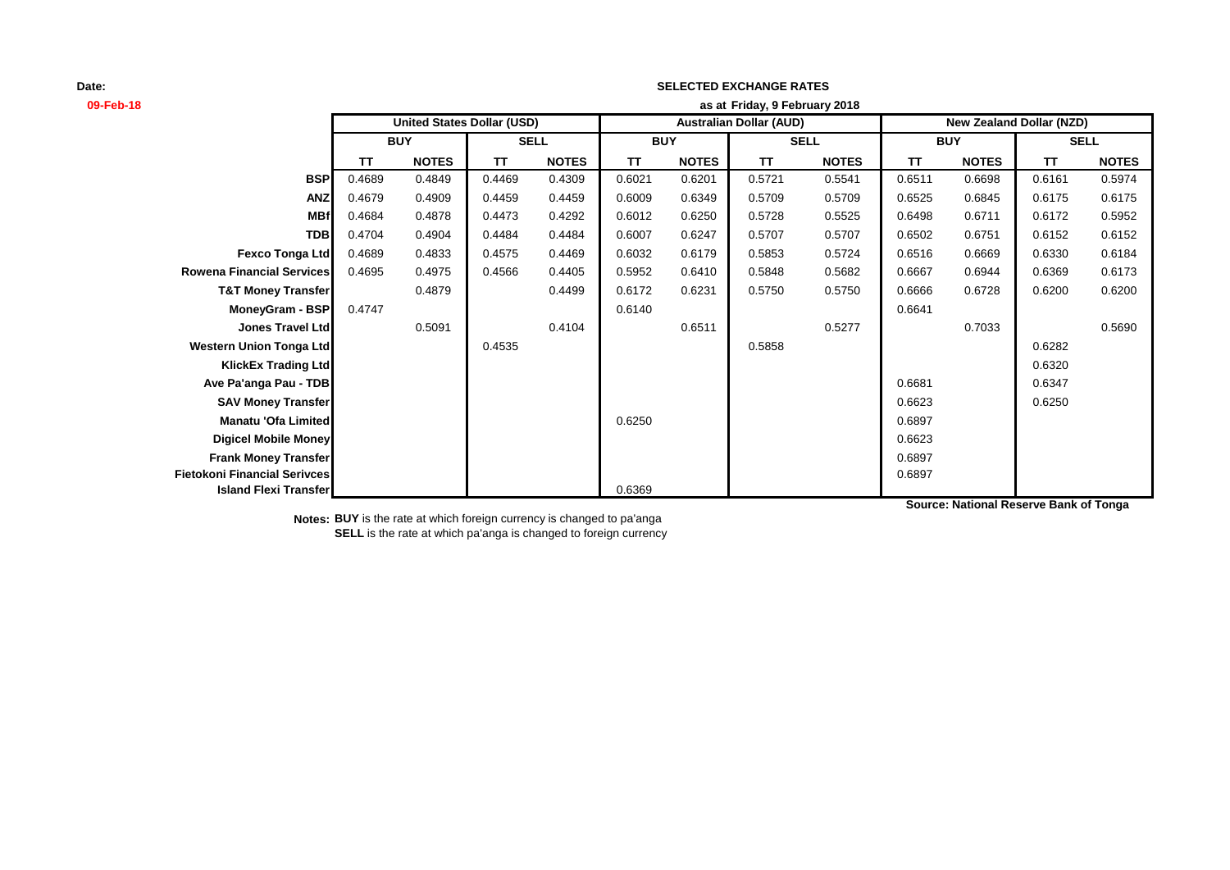## **Date:**

| 09-Feb-18                           | as at Friday, 9 February 2018     |              |             |              |                                |              |             |              |                                 |              |             |              |
|-------------------------------------|-----------------------------------|--------------|-------------|--------------|--------------------------------|--------------|-------------|--------------|---------------------------------|--------------|-------------|--------------|
|                                     | <b>United States Dollar (USD)</b> |              |             |              | <b>Australian Dollar (AUD)</b> |              |             |              | <b>New Zealand Dollar (NZD)</b> |              |             |              |
|                                     | <b>BUY</b>                        |              | <b>SELL</b> |              | <b>BUY</b>                     |              | <b>SELL</b> |              | <b>BUY</b>                      |              | <b>SELL</b> |              |
|                                     | ΤT                                | <b>NOTES</b> | TT          | <b>NOTES</b> | TΤ                             | <b>NOTES</b> | TΤ          | <b>NOTES</b> | TΤ                              | <b>NOTES</b> | TΤ          | <b>NOTES</b> |
| <b>BSP</b>                          | 0.4689                            | 0.4849       | 0.4469      | 0.4309       | 0.6021                         | 0.6201       | 0.5721      | 0.5541       | 0.6511                          | 0.6698       | 0.6161      | 0.5974       |
| <b>ANZ</b>                          | 0.4679                            | 0.4909       | 0.4459      | 0.4459       | 0.6009                         | 0.6349       | 0.5709      | 0.5709       | 0.6525                          | 0.6845       | 0.6175      | 0.6175       |
| <b>MBf</b>                          | 0.4684                            | 0.4878       | 0.4473      | 0.4292       | 0.6012                         | 0.6250       | 0.5728      | 0.5525       | 0.6498                          | 0.6711       | 0.6172      | 0.5952       |
| <b>TDB</b>                          | 0.4704                            | 0.4904       | 0.4484      | 0.4484       | 0.6007                         | 0.6247       | 0.5707      | 0.5707       | 0.6502                          | 0.6751       | 0.6152      | 0.6152       |
| <b>Fexco Tonga Ltd</b>              | 0.4689                            | 0.4833       | 0.4575      | 0.4469       | 0.6032                         | 0.6179       | 0.5853      | 0.5724       | 0.6516                          | 0.6669       | 0.6330      | 0.6184       |
| <b>Rowena Financial Services</b>    | 0.4695                            | 0.4975       | 0.4566      | 0.4405       | 0.5952                         | 0.6410       | 0.5848      | 0.5682       | 0.6667                          | 0.6944       | 0.6369      | 0.6173       |
| <b>T&amp;T Money Transfer</b>       |                                   | 0.4879       |             | 0.4499       | 0.6172                         | 0.6231       | 0.5750      | 0.5750       | 0.6666                          | 0.6728       | 0.6200      | 0.6200       |
| MoneyGram - BSP                     | 0.4747                            |              |             |              | 0.6140                         |              |             |              | 0.6641                          |              |             |              |
| <b>Jones Travel Ltd</b>             |                                   | 0.5091       |             | 0.4104       |                                | 0.6511       |             | 0.5277       |                                 | 0.7033       |             | 0.5690       |
| <b>Western Union Tonga Ltd</b>      |                                   |              | 0.4535      |              |                                |              | 0.5858      |              |                                 |              | 0.6282      |              |
| <b>KlickEx Trading Ltd</b>          |                                   |              |             |              |                                |              |             |              |                                 |              | 0.6320      |              |
| Ave Pa'anga Pau - TDB               |                                   |              |             |              |                                |              |             |              | 0.6681                          |              | 0.6347      |              |
| <b>SAV Money Transfer</b>           |                                   |              |             |              |                                |              |             |              | 0.6623                          |              | 0.6250      |              |
| <b>Manatu 'Ofa Limited</b>          |                                   |              |             |              | 0.6250                         |              |             |              | 0.6897                          |              |             |              |
| <b>Digicel Mobile Money</b>         |                                   |              |             |              |                                |              |             |              | 0.6623                          |              |             |              |
| <b>Frank Money Transfer</b>         |                                   |              |             |              |                                |              |             |              | 0.6897                          |              |             |              |
| <b>Fietokoni Financial Serivces</b> |                                   |              |             |              |                                |              |             |              | 0.6897                          |              |             |              |
| <b>Island Flexi Transfer</b>        |                                   |              |             |              | 0.6369                         |              |             |              |                                 |              |             |              |

**SELECTED EXCHANGE RATES**

**Source: National Reserve Bank of Tonga**

**Notes: BUY** is the rate at which foreign currency is changed to pa'anga **SELL** is the rate at which pa'anga is changed to foreign currency